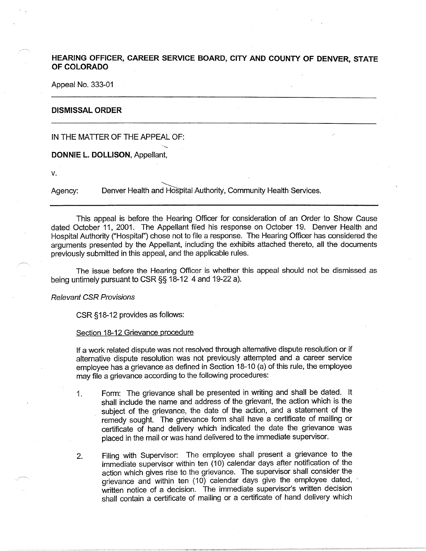# **HEARING OFFICER, CAREER SERVICE BOARD, CITY AND COUNTY OF DENVER, STATE OF COLORADO**

Appeal No. 333-01

#### **DISMISSAL ORDER**

# IN THE MATTER OF THE APPEAL OF:

### **DONNIE L. DOLLISON,** Appellant,

V.

Agency: Denver Health and Hospital Authority, Community Health Services.

This appeal is before the Hearing Officer for consideration of an Order to Show Cause dated October 11, 2001. The Appellant filed his response on October 19. Denver Health and Hospital Authority ("Hospital") chose not to file a response. The Hearing Officer has considered the arguments presented by the Appellant, including the exhibits attached thereto, all the documents previously submitted in this appeal, and the applicable rules.

The issue before the Hearing Officer is whether this appeal should not be dismissed as being untimely pursuant to CSR §§ 18-12 4 and 19-22 a).

## Relevant CSR Provisions

CSR §18-12 provides as follows:

## Section 18-12 Grievance procedure

If a work related dispute was not resolved through alternative dispute resolution or if alternative dispute resolution was not previously attempted and a career service employee has a grievance as defined in Section 18-10 (a) of this rule, the employee may file a grievance according to the following procedures:

- 1. Form: The grievance shall be presented in writing and shall be dated. It shall include the name and address of the grievant, the action which is the subject of the grievance, the date of the action, and a statement of the remedy sought. The grievance form shall have a certificate of mailing or certificate of hand delivery which indicated the date the grievance was placed in the mail or was hand delivered to the immediate supervisor.
- 2. Filing with Supervisor: The employee shall present a grievance to the immediate supervisor within ten (10) calendar days after notification of the action which gives rise to the grievance. The supervisor shall consider the grievance and within ten (10) calendar days give the employee dated, written notice of a decision. The immediate supervisor's written decision shall contain a certificate of mailing or a certificate of hand delivery which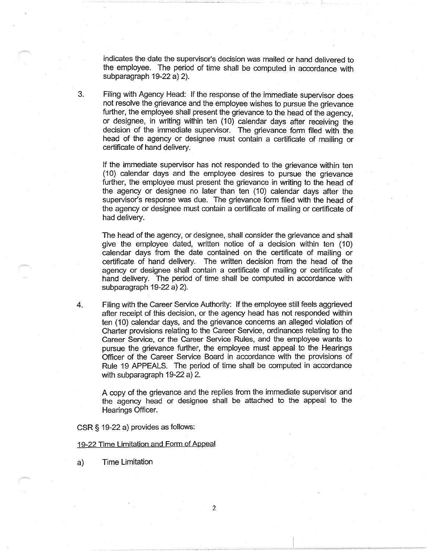indicates the date the supervisor's decision was mailed or hand delivered to the employee. The period of time shall be computed in accordance with subparagraph 19-22 a) 2).

3. Filing with Agency Head: If the response of the immediate supervisor does not resolve the grievance and the employee wishes to pursue the grievance further, the employee shall present the grievance to the head of the agency, or designee, in writing within ten (10) calendar days after receiving the decision of the immediate supervisor. The grievance form filed with the head of the agency or designee must contain a certificate of mailing or certificate of hand delivery.

If the immediate supervisor has not responded to the grievance within ten (10) calendar days and the employee desires to pursue the grievance further, the employee must present the grievance in writing to the head of the agency or designee no later than ten (10) calendar days after the supervisor's response was due. The grievance form filed with the head of the agency or designee must contain a certificate of mailing or certificate of had delivery.

The head of the agency, or designee, shall consider the grievance and shall give the employee dated, written notice of a decision within ten (10) calendar days from the date contained on the certificate of mailing or certificate of hand delivery. The written decision from the head of the agency or designee shall contain a certificate of mailing or certificate of hand delivery. The period of time shall be computed in accordance with subparagraph 19-22 a) 2).

4. Filing with the Career Service Authority: If the employee still feels aggrieved after receipt of this decision, or the agency head has not responded within ten (10) calendar days, and the grievance concerns an alleged violation of Charter provisions relating to the Career Service, ordinances relating to the Career Service, or the Career Service Rules, and the employee wants to pursue the grievance further, the employee must appeal to the Hearings Officer of the Career Service Board in accordance with the provisions of Rule 19 APPEALS. The period of time shall be computed in accordance with subparagraph 19-22 a) 2.

A copy of the grievance and the replies from the immediate supervisor and the agency head or designee shall be attached to the appeal to the Hearings Officer.

CSR § 19-22 a) provides as follows:

### 19-22 Time Limitation and Form of Appeal

a) Time Limitation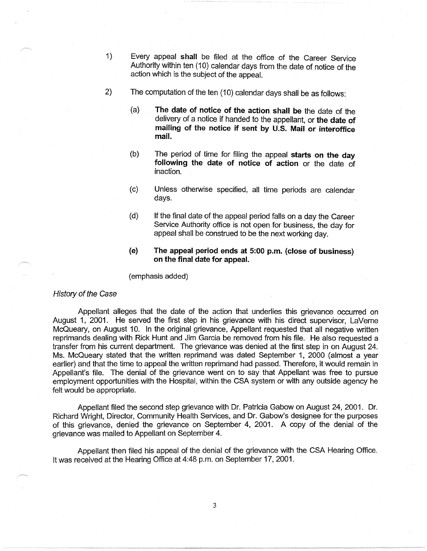- 1) Every appeal **shall** be filed at the office of the Career Service Authority within ten ( 10) calendar days from the date of notice of the action which is the subject of the appeal.
- 2) The computation of the ten ( 10) calendar days shall be as follows:
	- (a) **The date of notice of the action shall be** the date of the delivery of a notice if handed to the appellant, or **the date of mailing of the notice if sent by U.S. Mail or interoffice mail.**
	- (b) The period of time for filing the appeal **starts on the day following the date of notice of action** or the date of inaction.
	- (c) Unless otherwise specified, all time periods are calendar days.
	- (d) If the final date of the appeal period falls on a day the Career Service Authority office is not open for business, the day for appeal shall be construed to be the next working day.
	- **(e) The appeal period ends at 5:00 p.m. (close of business) on the final date for appeal.**

(emphasis added)

## History of the Case

Appellant alleges that the date of the action that underlies this grievance occurred on August 1, 2001. He served the first step in his grievance with his direct supervisor, Laverne McQueary, on August 10. In the original grievance, Appellant requested that all negative written reprimands dealing with Rick Hunt and Jim Garcia be removed from his file. He also requested a transfer from his current department. The grievance was denied at the first step in on August 24. Ms. McQueary stated that the written reprimand was dated September 1, 2000 (almost a year earlier) and that the time to appeal the written reprimand had passed. Therefore, it would remain in Appellant's file. The denial of the grievance went on to say that Appellant was free to pursue employment opportunities with the Hospital, within the CSA system or with any outside agency he felt would be appropriate.

Appellant filed the second step grievance with Dr. Patricia Gabow on August 24, 2001. Dr. Richard Wright, Director, Community Health Services, and Dr. Gabow's designee for the purposes of this grievance, denied the grievance on September 4, 2001. A copy of the denial of the grievance was mailed to Appellant on September 4.

Appellant then filed his appeal of the denial of the grievance with the CSA Hearing Office. It was received at the Hearing Office at 4:48 p.m. on September 17, 2001.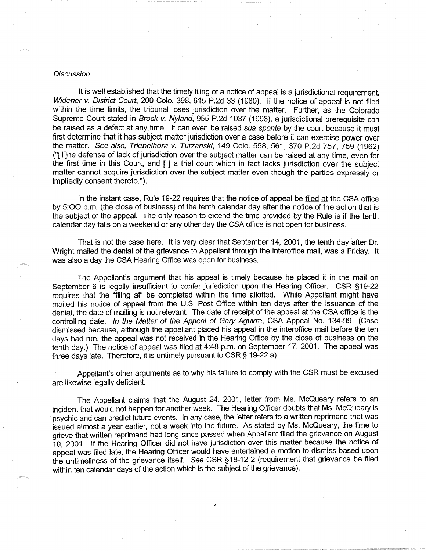#### **Discussion**

It is well established that the timely filing of a notice of appeal is a jurisdictional requirement. Widener v. District Court, 200 Colo. 398, 615 P.2d 33 (1980). If the notice of appeal is not filed within the time limits, the tribunal loses jurisdiction over the matter. Further, as the Colorado Supreme Court stated in Brock v. Nyland, 955 P.2d 1037 (1998), a jurisdictional prerequisite can be raised as a defect at any time. It can even be raised sua sponte by the court because it must first determine that it has subject matter jurisdiction over a case before it can exercise power over the matter. See also, Triebelhorn v. Turzanski, 149 Colo. 558, 561, 370 P.2d 757, 759 (1962) ("[T]he defense of lack of jurisdiction over the subject matter can be raised at any time, even for the first time in this Court, and [ ] a trial court which in fact lacks jurisdiction over the subject matter cannot acquire jurisdiction over the subject matter even though the parties expressly or impliedly consent thereto.").

In the instant case, Rule 19-22 requires that the notice of appeal be filed at the CSA office by 5:00 p.m. (the close of business) of the tenth calendar day after the notice of the action that is the subject of the appeal. The only reason to extend the time provided by the Rule is if the tenth calendar day falls on a weekend or any other day the CSA office is not open for business.

That is not the case here. It is very clear that September 14, 2001, the tenth day after Dr. Wright mailed the denial of the grievance to Appellant through the interoffice mail, was a Friday. It was also a day the CSA Hearing Office was open for business.

The Appellant's argument that his appeal is timely because he placed it in the mail on September 6 is legally insufficient to confer jurisdiction upon the Hearing Officer. CSR §19-22 requires that the "filing at'' be completed within the time allotted. While Appellant might have mailed his notice of appeal from the U.S. Post Office within ten days after the issuance of the denial, the date of mailing is not relevant. The date of receipt of the appeal at the CSA office is the controlling date. In the Matter of the Appeal of Gary Aguirre, CSA Appeal No. 134-99 (Case dismissed because, although the appellant placed his appeal in the interoffice mail before the ten days had run, the appeal was not received in the Hearing Office by the close of business on the tenth day.) The notice of appeal was filed at 4:48 p.m. on September 17, 2001. The appeal was three days late. Therefore, it is untimely pursuant to CSR§ 19-22 a).

Appellant's other arguments as to why his failure to comply with the CSR must be excused are likewise legally deficient.

The Appellant claims that the August 24, 2001, letter from Ms. McQueary refers to an incident that would not happen for another week. The Hearing Officer doubts that Ms. McQueary is psychic and can predict future events. In any case, the letter refers to a written reprimand that was issued almost a year earlier, not a week into the future. As stated by Ms. McQueary, the time to grieve that written reprimand had long since passed when Appellant filed the grievance on August 10, 2001. If the Hearing Officer did not have jurisdiction over this matter because the notice of appeal was filed late, the Hearing Officer would have entertained a motion to dismiss based upon the untimeliness of the grievance itself. See CSR §18-12 2 (requirement that grievance be filed within ten calendar days of the action which is the subject of the grievance).

4